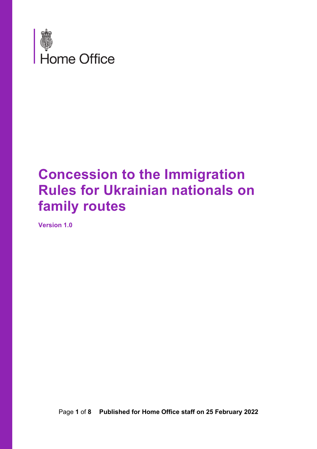

## **Concession to the Immigration Rules for Ukrainian nationals on family routes**

**Version 1.0**

Page **1** of **8 Published for Home Office staff on 25 February 2022**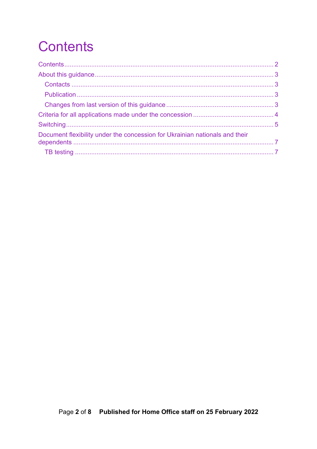# <span id="page-1-0"></span>**Contents**

| Document flexibility under the concession for Ukrainian nationals and their |  |
|-----------------------------------------------------------------------------|--|
|                                                                             |  |
|                                                                             |  |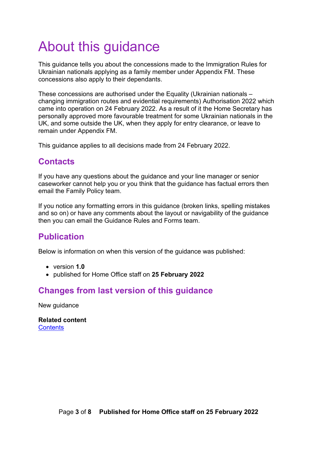# <span id="page-2-0"></span>About this guidance

This guidance tells you about the concessions made to the Immigration Rules for Ukrainian nationals applying as a family member under Appendix FM. These concessions also apply to their dependants.

These concessions are authorised under the Equality (Ukrainian nationals – changing immigration routes and evidential requirements) Authorisation 2022 which came into operation on 24 February 2022. As a result of it the Home Secretary has personally approved more favourable treatment for some Ukrainian nationals in the UK, and some outside the UK, when they apply for entry clearance, or leave to remain under Appendix FM.

This guidance applies to all decisions made from 24 February 2022.

#### <span id="page-2-1"></span>**Contacts**

If you have any questions about the guidance and your line manager or senior caseworker cannot help you or you think that the guidance has factual errors then email the Family Policy team.

If you notice any formatting errors in this guidance (broken links, spelling mistakes and so on) or have any comments about the layout or navigability of the guidance then you can email the Guidance Rules and Forms team.

### <span id="page-2-2"></span>**Publication**

Below is information on when this version of the guidance was published:

- version **1.0**
- published for Home Office staff on **25 February 2022**

### <span id="page-2-3"></span>**Changes from last version of this guidance**

New guidance

**Related content [Contents](#page-1-0)**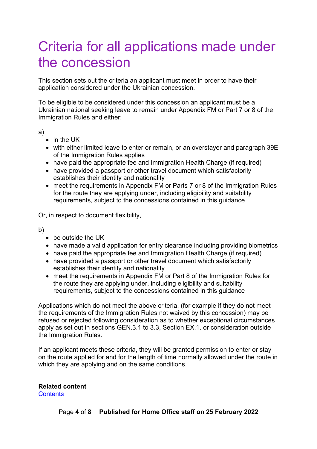## <span id="page-3-0"></span>Criteria for all applications made under the concession

This section sets out the criteria an applicant must meet in order to have their application considered under the Ukrainian concession.

To be eligible to be considered under this concession an applicant must be a Ukrainian national seeking leave to remain under Appendix FM or Part 7 or 8 of the Immigration Rules and either:

#### a)

- in the UK
- with either limited leave to enter or remain, or an overstayer and paragraph 39E of the Immigration Rules applies
- have paid the appropriate fee and Immigration Health Charge (if required)
- have provided a passport or other travel document which satisfactorily establishes their identity and nationality
- meet the requirements in Appendix FM or Parts 7 or 8 of the Immigration Rules for the route they are applying under, including eligibility and suitability requirements, subject to the concessions contained in this guidance

Or, in respect to document flexibility,

b)

- be outside the UK
- have made a valid application for entry clearance including providing biometrics
- have paid the appropriate fee and Immigration Health Charge (if required)
- have provided a passport or other travel document which satisfactorily establishes their identity and nationality
- meet the requirements in Appendix FM or Part 8 of the Immigration Rules for the route they are applying under, including eligibility and suitability requirements, subject to the concessions contained in this guidance

Applications which do not meet the above criteria, (for example if they do not meet the requirements of the Immigration Rules not waived by this concession) may be refused or rejected following consideration as to whether exceptional circumstances apply as set out in sections GEN.3.1 to 3.3, Section EX.1. or consideration outside the Immigration Rules.

If an applicant meets these criteria, they will be granted permission to enter or stay on the route applied for and for the length of time normally allowed under the route in which they are applying and on the same conditions.

**Related content [Contents](#page-1-0)**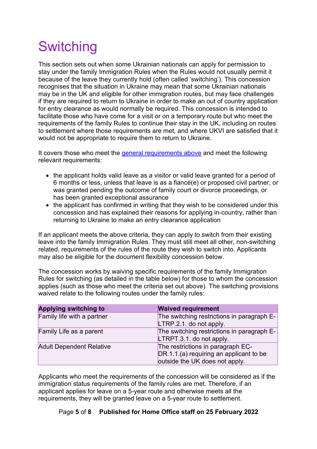# <span id="page-4-0"></span>**Switching**

This section sets out when some Ukrainian nationals can apply for permission to stay under the family Immigration Rules when the Rules would not usually permit it because of the leave they currently hold (often called 'switching'). This concession recognises that the situation in Ukraine may mean that some Ukrainian nationals may be in the UK and eligible for other immigration routes, but may face challenges if they are required to return to Ukraine in order to make an out of country application for entry clearance as would normally be required. This concession is intended to facilitate those who have come for a visit or on a temporary route but who meet the requirements of the family Rules to continue their stay in the UK, including on routes to settlement where those requirements are met, and where UKVI are satisfied that it would not be appropriate to require them to return to Ukraine.

It covers those who meet the general requirements above and meet the following relevant requirements:

- the applicant holds valid leave as a visitor or valid leave granted for a period of 6 months or less, unless that leave is as a fiancé(e) or proposed civil partner, or was granted pending the outcome of family court or divorce proceedings, or has been granted exceptional assurance
- the applicant has confirmed in writing that they wish to be considered under this concession and has explained their reasons for applying in-country, rather than returning to Ukraine to make an entry clearance application

If an applicant meets the above criteria, they can apply to switch from their existing leave into the family Immigration Rules. They must still meet all other, non-switching related, requirements of the rules of the route they wish to switch into. Applicants may also be eligible for the document flexibility concession below.

The concession works by waiving specific requirements of the family Immigration Rules for switching (as detailed in the table below) for those to whom the concession applies (such as those who meet the criteria set out above). The switching provisions waived relate to the following routes under the family rules:

| <b>Applying switching to</b>    | <b>Waived requirement</b>                                                                                      |
|---------------------------------|----------------------------------------------------------------------------------------------------------------|
| Family life with a partner      | The switching restrictions in paragraph E-<br>LTRP.2.1. do not apply.                                          |
| Family Life as a parent         | The switching restrictions in paragraph E-<br>LTRPT.3.1. do not apply.                                         |
| <b>Adult Dependent Relative</b> | The restrictions in paragraph EC-<br>DR.1.1.(a) requiring an applicant to be<br>outside the UK does not apply. |

Applicants who meet the requirements of the concession will be considered as if the immigration status requirements of the family rules are met. Therefore, if an applicant applies for leave on a 5-year route and otherwise meets all the requirements, they will be granted leave on a 5-year route to settlement.

#### Page **5** of **8 Published for Home Office staff on 25 February 2022**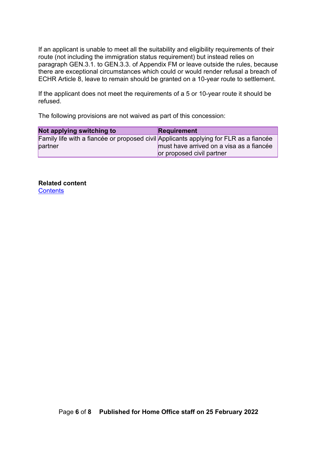If an applicant is unable to meet all the suitability and eligibility requirements of their route (not including the immigration status requirement) but instead relies on paragraph GEN.3.1. to GEN.3.3. of Appendix FM or leave outside the rules, because there are exceptional circumstances which could or would render refusal a breach of ECHR Article 8, leave to remain should be granted on a 10-year route to settlement.

If the applicant does not meet the requirements of a 5 or 10-year route it should be refused.

The following provisions are not waived as part of this concession:

| Not applying switching to                                                             | <b>Requirement</b>                       |
|---------------------------------------------------------------------------------------|------------------------------------------|
| Family life with a fiancée or proposed civil Applicants applying for FLR as a fiancée |                                          |
| partner                                                                               | must have arrived on a visa as a fiancée |
|                                                                                       | or proposed civil partner                |

**Related content [Contents](#page-1-0)**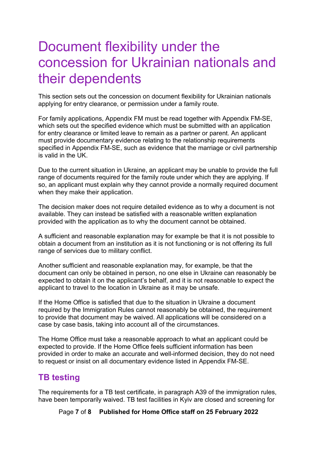## <span id="page-6-0"></span>Document flexibility under the concession for Ukrainian nationals and their dependents

This section sets out the concession on document flexibility for Ukrainian nationals applying for entry clearance, or permission under a family route.

For family applications, Appendix FM must be read together with Appendix FM-SE, which sets out the specified evidence which must be submitted with an application for entry clearance or limited leave to remain as a partner or parent. An applicant must provide documentary evidence relating to the relationship requirements specified in Appendix FM-SE, such as evidence that the marriage or civil partnership is valid in the UK.

Due to the current situation in Ukraine, an applicant may be unable to provide the full range of documents required for the family route under which they are applying. If so, an applicant must explain why they cannot provide a normally required document when they make their application.

The decision maker does not require detailed evidence as to why a document is not available. They can instead be satisfied with a reasonable written explanation provided with the application as to why the document cannot be obtained.

A sufficient and reasonable explanation may for example be that it is not possible to obtain a document from an institution as it is not functioning or is not offering its full range of services due to military conflict.

Another sufficient and reasonable explanation may, for example, be that the document can only be obtained in person, no one else in Ukraine can reasonably be expected to obtain it on the applicant's behalf, and it is not reasonable to expect the applicant to travel to the location in Ukraine as it may be unsafe.

If the Home Office is satisfied that due to the situation in Ukraine a document required by the Immigration Rules cannot reasonably be obtained, the requirement to provide that document may be waived. All applications will be considered on a case by case basis, taking into account all of the circumstances.

The Home Office must take a reasonable approach to what an applicant could be expected to provide. If the Home Office feels sufficient information has been provided in order to make an accurate and well-informed decision, they do not need to request or insist on all documentary evidence listed in Appendix FM-SE.

## <span id="page-6-1"></span>**TB testing**

The requirements for a TB test certificate, in paragraph A39 of the immigration rules, have been temporarily waived. TB test facilities in Kyiv are closed and screening for

Page **7** of **8 Published for Home Office staff on 25 February 2022**